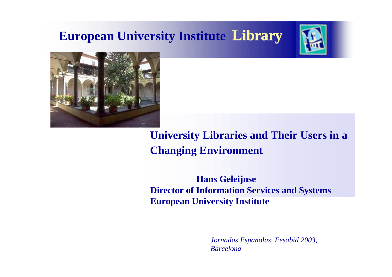### **European University Institute Library**





**University Libraries and Their Users in a Changing Environment**

 **Hans Geleijnse Director of Information Services and Systems European University Institute**

> *Jornadas Espanolas, Fesabid 2003, Barcelona*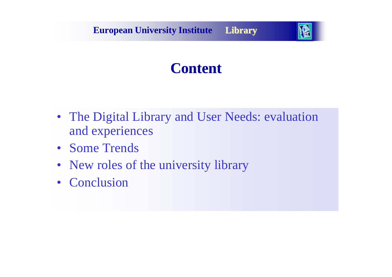**European University Institute Library**



### **Content**

- The Digital Library and User Needs: evaluation and experiences
- Some Trends
- New roles of the university library
- Conclusion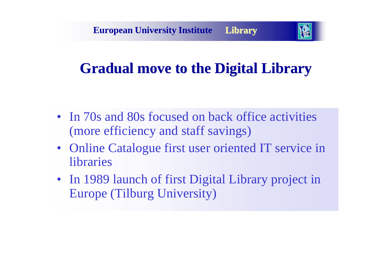

## **Gradual move to the Digital Library**

- In 70s and 80s focused on back office activities (more efficiency and staff savings)
- Online Catalogue first user oriented IT service in libraries
- In 1989 launch of first Digital Library project in Europe (Tilburg University)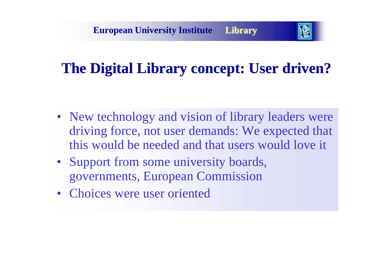

## **The Digital Library concept: User driven?**

- New technology and vision of library leaders were driving force, not user demands: We expected that this would be needed and that users would love it
- Support from some university boards, governments, European Commission
- Choices were user oriented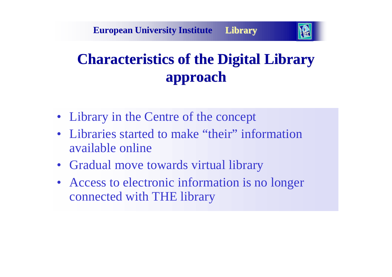

# **Characteristics of the Digital Library approach**

- Library in the Centre of the concept
- Libraries started to make "their" information available online
- Gradual move towards virtual library
- Access to electronic information is no longer connected with THE library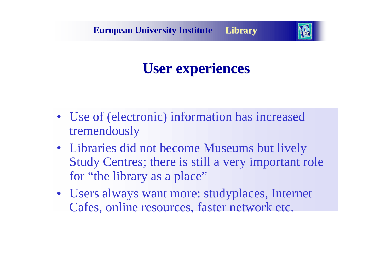

## **User experiences**

- Use of (electronic) information has increased tremendously
- Libraries did not become Museums but lively Study Centres; there is still a very important role for "the library as a place"
- Users always want more: studyplaces, Internet Cafes, online resources, faster network etc.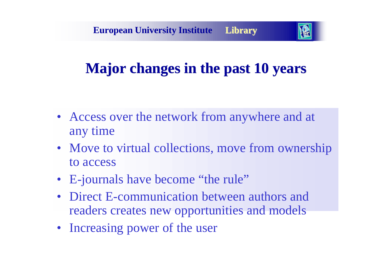

## **Major changes in the past 10 years**

- Access over the network from anywhere and at any time
- Move to virtual collections, move from ownership to access
- E-journals have become "the rule"
- Direct E-communication between authors and readers creates new opportunities and models
- Increasing power of the user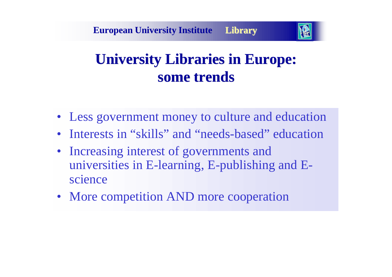

## **University Libraries in Europe: some trends**

- Less government money to culture and education
- Interests in "skills" and "needs-based" education
- Increasing interest of governments and universities in E-learning, E-publishing and Escience
- More competition AND more cooperation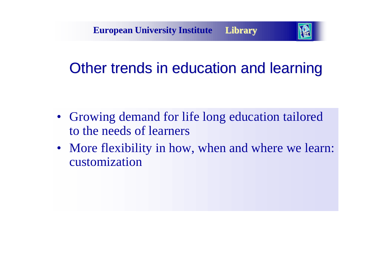

# Other trends in education and learning

- Growing demand for life long education tailored to the needs of learners
- More flexibility in how, when and where we learn: customization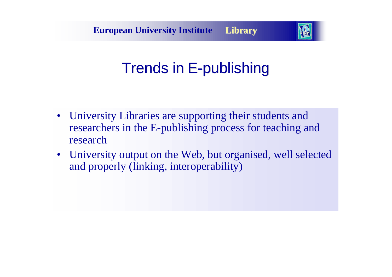

# Trends in E-publishing

- University Libraries are supporting their students and researchers in the E-publishing process for teaching and research
- University output on the Web, but organised, well selected and properly (linking, interoperability)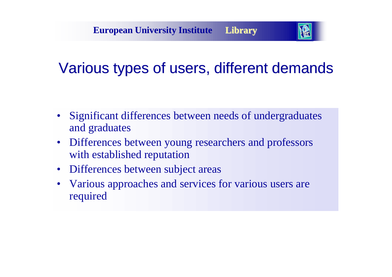

# Various types of users, different demands

- Significant differences between needs of undergraduates and graduates
- Differences between young researchers and professors with established reputation
- Differences between subject areas
- Various approaches and services for various users are required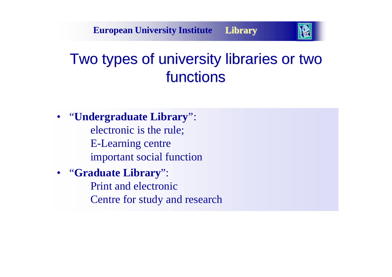

# Two types of university libraries or two functions

• "**Undergraduate Library**": electronic is the rule; E-Learning centre important social function

#### • "**Graduate Library**":

Print and electronic Centre for study and research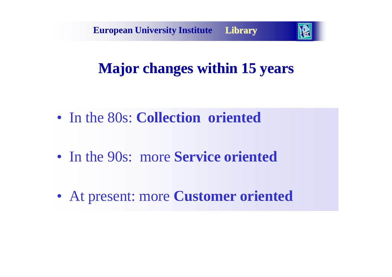

# **Major changes within 15 years**

- In the 80s: **Collection oriented**
- In the 90s: more **Service oriented**
- At present: more **Customer oriented**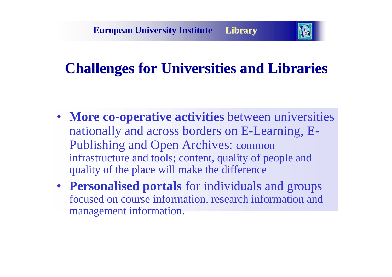

## **Challenges for Universities and Libraries**

- **More co-operative activities** between universities nationally and across borders on E-Learning, E-Publishing and Open Archives: common infrastructure and tools; content, quality of people and quality of the place will make the difference
- **Personalised portals** for individuals and groups focused on course information, research information and management information.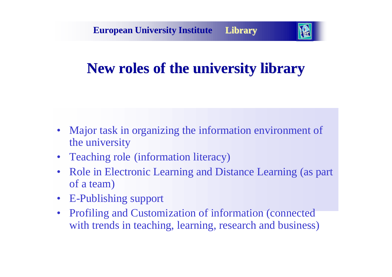

# **New roles of the university library**

- Major task in organizing the information environment of the university
- Teaching role (information literacy)
- Role in Electronic Learning and Distance Learning (as part of a team)
- E-Publishing support
- Profiling and Customization of information (connected with trends in teaching, learning, research and business)